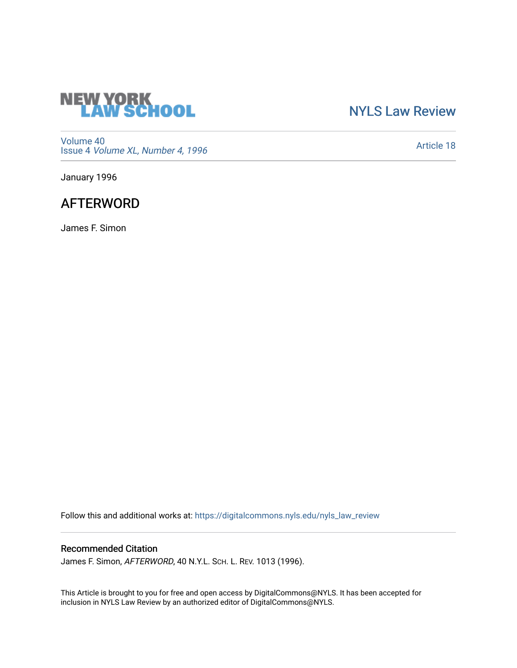

## [NYLS Law Review](https://digitalcommons.nyls.edu/nyls_law_review)

[Volume 40](https://digitalcommons.nyls.edu/nyls_law_review/vol40) Issue 4 [Volume XL, Number 4, 1996](https://digitalcommons.nyls.edu/nyls_law_review/vol40/iss4)

[Article 18](https://digitalcommons.nyls.edu/nyls_law_review/vol40/iss4/18) 

January 1996

# **AFTERWORD**

James F. Simon

Follow this and additional works at: [https://digitalcommons.nyls.edu/nyls\\_law\\_review](https://digitalcommons.nyls.edu/nyls_law_review?utm_source=digitalcommons.nyls.edu%2Fnyls_law_review%2Fvol40%2Fiss4%2F18&utm_medium=PDF&utm_campaign=PDFCoverPages) 

## Recommended Citation

James F. Simon, AFTERWORD, 40 N.Y.L. SCH. L. REV. 1013 (1996).

This Article is brought to you for free and open access by DigitalCommons@NYLS. It has been accepted for inclusion in NYLS Law Review by an authorized editor of DigitalCommons@NYLS.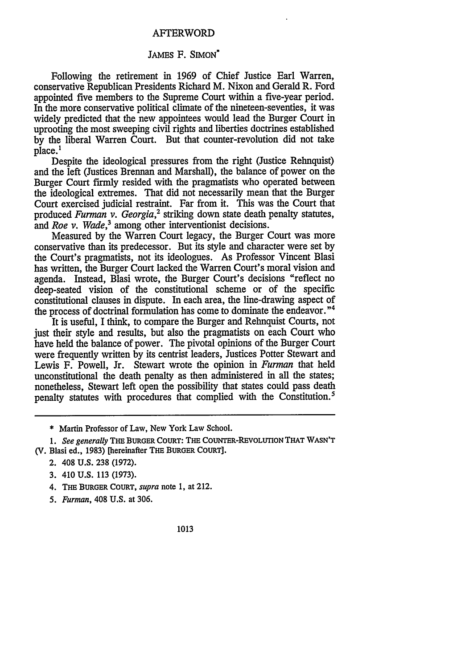### AFTERWORD

### JAMES F. SIMON\*

Following the retirement in 1969 of Chief Justice Earl Warren, conservative Republican Presidents Richard M. Nixon and Gerald R. Ford appointed five members to the Supreme Court within a five-year period. In the more conservative political climate of the nineteen-seventies, it was widely predicted that the new appointees would lead the Burger Court in uprooting the most sweeping civil rights and liberties doctrines established by the liberal Warren Court. But that counter-revolution did not take place.1

Despite the ideological pressures from the right (Justice Rehnquist) and the left (Justices Brennan and Marshall), the balance of power on the Burger Court firmly resided with the pragmatists who operated between the ideological extremes. That did not necessarily mean that the Burger Court exercised judicial restraint. Far from it. This was the Court that produced *Furman v. Georgia*,<sup>2</sup> striking down state death penalty statutes, and *Roe v. Wade,3* among other interventionist decisions.

Measured by the Warren Court legacy, the Burger Court was more conservative than its predecessor. But its style and character were set by the Court's pragmatists, not its ideologues. As Professor Vincent Blasi has written, the Burger Court lacked the Warren Court's moral vision and agenda. Instead, Blasi wrote, the Burger Court's decisions "reflect no deep-seated vision of the constitutional scheme or of the specific constitutional clauses in dispute. In each area, the line-drawing aspect of the process of doctrinal formulation has come to dominate the endeavor."<sup>4</sup>

It is useful, I think, to compare the Burger and Rehnquist Courts, not just their style and results, but also the pragmatists on each Court who have held the balance of power. The pivotal opinions of the Burger Court were frequently written by its centrist leaders, Justices Potter Stewart and Lewis F. Powell, Jr. Stewart wrote the opinion in *Furman* that held unconstitutional the death penalty as then administered in all the states; nonetheless, Stewart left open the possibility that states could pass death penalty statutes with procedures that complied with the Constitution.'

\* Martin Professor of Law, New York Law School.

*1. See generally* **THE** BURGER COURT: **THE** COUNTER-REvOLUTION THAT **WASN'T (V. Blasi ed., 1983)** [hereinafter THE **BURGER** COURT].

- **2. 408 U.S. 238 (1972).**
- **3.** 410 **U.S. 113** (1973).
- **4.** THE BURGER **COURT,** *supra* note **1, at** 212.
- *5. Furman,* 408 **U.S.** at 306.
- **1013**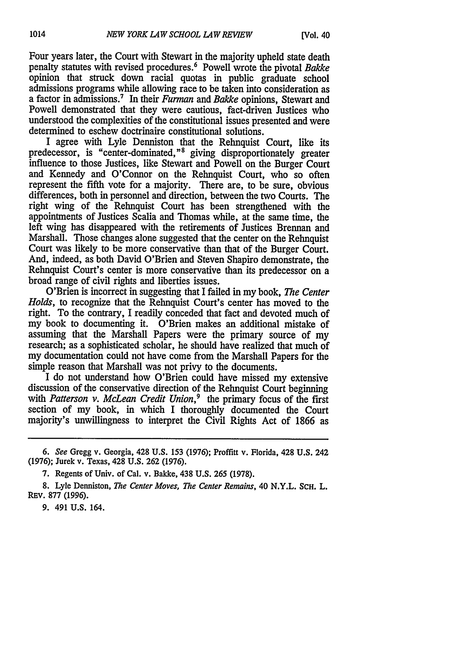Four years later, the Court with Stewart in the majority upheld state death penalty statutes with revised procedures.6 Powell wrote the pivotal *Bakke* opinion that struck down racial quotas in public graduate school admissions programs while allowing race to be taken into consideration as a factor in admissions.7 In their *Furnan and Bakke* opinions, Stewart and Powell demonstrated that they were cautious, fact-driven Justices who understood the complexities of the constitutional issues presented and were determined to eschew doctrinaire constitutional solutions.

I agree with Lyle Denniston that the Rehnquist Court, like its predecessor, is "center-dominated,"8 giving disproportionately greater influence to those Justices, like Stewart and Powell on the Burger Court and Kennedy and O'Connor on the Rehnquist Court, who so often represent the fifth vote for a majority. There are, to be sure, obvious differences, both in personnel and direction, between the two Courts. The right wing of the Rehnquist Court has been strengthened with the appointments of Justices Scalia and Thomas while, at the same time, the left wing has disappeared with the retirements of Justices Brennan and Marshall. Those changes alone suggested that the center on the Rehnquist Court was likely to be more conservative than that of the Burger Court. And, indeed, as both David O'Brien and Steven Shapiro demonstrate, the Rehnquist Court's center is more conservative than its predecessor on a broad range of civil rights and liberties issues.

O'Brien is incorrect in suggesting that I failed in my book, *The Center Holds,* to recognize that the Rehnquist Court's center has moved to the right. To the contrary, I readily conceded that fact and devoted much of my book to documenting it. O'Brien makes an additional mistake of assuming that the Marshall Papers were the primary source of my research; as a sophisticated scholar, he should have realized that much of my documentation could not have come from the Marshall Papers for the simple reason that Marshall was not privy to the documents.

I do not understand how O'Brien could have missed my extensive discussion of the conservative direction of the Rehnquist Court beginning with *Patterson v. McLean Credit Union*,<sup>9</sup> the primary focus of the first section of my book, in which I thoroughly documented the Court majority's unwillingness to interpret the Civil Rights Act of 1866 as

9. 491 U.S. 164.

<sup>6.</sup> *See* Gregg v. Georgia, 428 U.S. 153 (1976); Proffitt v. Florida, 428 U.S. 242 (1976); Jurek v. Texas, 428 U.S. 262 (1976).

<sup>7.</sup> Regents of Univ. of Cal. v. Bakke, 438 U.S. 265 (1978).

<sup>8.</sup> Lyle Denniston, *The Center Moves, The Center Remains,* 40 N.Y.L. **SCH.** L. REV. 877 (1996).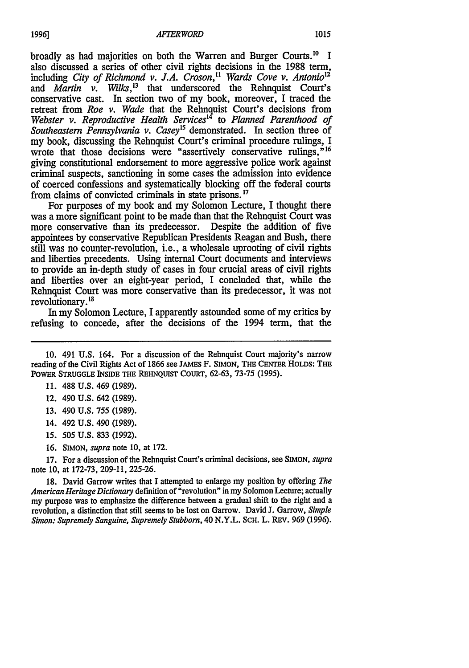broadly as had majorities on both the Warren and Burger Courts.<sup>10</sup> I also discussed a series of other civil rights decisions in the 1988 term, including *City of Richmond v. J.A. Croson*,<sup>11</sup> *Wards Cove v. Antonio*<sup>12</sup> and *Martin v. Wilks*,<sup>13</sup> that underscored the Rehnquist Court's conservative cast. In section two of my book, moreover, I traced the retreat from *Roe v. Wade* that the Rehnquist Court's decisions from *Webster v. Reproductive Health Services'4* to *Planned Parenthood of Southeastern Pennsylvania v. Casey'5* demonstrated. In section three of my book, discussing the Rehnquist Court's criminal procedure rulings, I wrote that those decisions were "assertively conservative rulings,"<sup>16</sup> giving constitutional endorsement to more aggressive police work against criminal suspects, sanctioning in some cases the admission into evidence of coerced confessions and systematically blocking off the federal courts from claims of convicted criminals in state prisons.<sup>17</sup>

For purposes of my book and my Solomon Lecture, I thought there was a more significant point to be made than that the Rehnquist Court was more conservative than its predecessor. Despite the addition of five appointees by conservative Republican Presidents Reagan and Bush, there still was no counter-revolution, i.e., a wholesale uprooting of civil rights and liberties precedents. Using internal Court documents and interviews to provide an in-depth study of cases in four crucial areas of civil rights and liberties over an eight-year period, I concluded that, while the Rehnquist Court was more conservative than its predecessor, it was not revolutionary.<sup>18</sup>

In my Solomon Lecture, I apparently astounded some of my critics by refusing to concede, after the decisions of the 1994 term, that the

- **11. 488 U.S.** 469 **(1989).**
- 12. 490 **U.S.** 642 (1989).
- **13.** 490 **U.S. 755 (1989).**
- 14. 492 **U.S.** 490 **(1989).**
- *15.* 505 **U.S. 833 (1992).**
- **16. SIMON,** *supra* note **10,** at 172.

17. For a discussion of the Rehnquist Court's criminal decisions, see SIMON, *supra* note 10, at 172-73, 209-11, 225-26.

18. David Garrow writes that I attempted to enlarge my position by offering *The American Heritage Dictionary* definition of"revolution" in my Solomon Lecture; actually my purpose was to emphasize the difference between a gradual shift to the right and a revolution, a distinction that still seems to be lost on Garrow. David J. Garrow, *Simple Simon: Supremely Sanguine, Supremely Stubborn,* 40 N.Y.L. SCH. L. REV. 969 (1996).

**<sup>10.</sup>** 491 **U.S.** 164. For a discussion of the Rehnquist Court majority's narrow reading of the Civil Rights Act of 1866 see **JAMES** F. SIMON, THE **CENTER** HOLDS: THE POWER STRUGGLE INSIDE THE REHNOUIST COURT, 62-63, 73-75 (1995).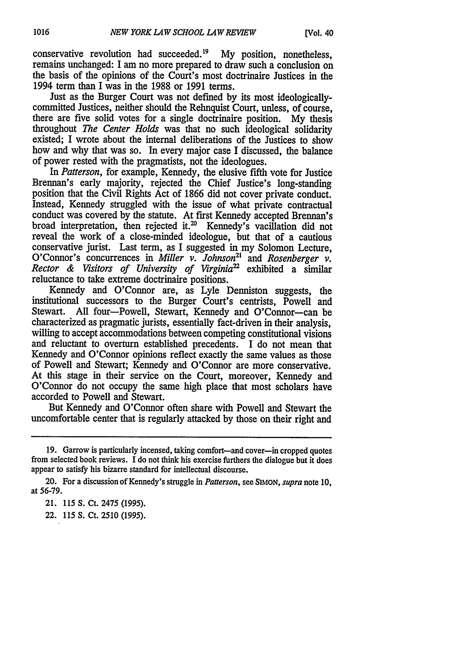conservative revolution had succeeded.<sup>19</sup> My position, nonetheless, remains unchanged: I am no more prepared to draw such a conclusion on the basis of the opinions of the Court's most doctrinaire Justices in the 1994 term than I was in the 1988 or 1991 terms.

Just as the Burger Court was not defined by its most ideologicallycommitted Justices, neither should the Rehnquist Court, unless, of course, there are five solid votes for a single doctrinaire position. My thesis throughout *The Center Holds* was that no such ideological solidarity existed; I wrote about the internal deliberations of the Justices to show how and why that was so. In every major case I discussed, the balance of power rested with the pragmatists, not the ideologues.

In *Patterson,* for example, Kennedy, the elusive fifth vote for Justice Brennan's early majority, rejected the Chief Justice's long-standing position that the Civil Rights Act of 1866 did not cover private conduct. Instead, Kennedy struggled with the issue of what private contractual conduct was covered by the statute. At first Kennedy accepted Brennan's broad interpretation, then rejected it.<sup>20</sup> Kennedy's vacillation did not reveal the work of a close-minded ideologue, but that of a cautious conservative jurist. Last term, as I suggested in my Solomon Lecture, O'Connor's concurrences in *Miller v. Johnson*<sup>21</sup> and *Rosenberger v. Rector & Visitors of University of Virginia* exhibited a similar reluctance to take extreme doctrinaire positions.

Kennedy and O'Connor are, as Lyle Denniston suggests, the institutional successors to the Burger Court's centrists, Powell and Stewart. All four-Powell, Stewart, Kennedy and O'Connor-can be characterized as pragmatic jurists, essentially fact-driven in their analysis, willing to accept accommodations between competing constitutional visions and reluctant to overturn established precedents. I do not mean that Kennedy and O'Connor opinions reflect exactly the same values as those of Powell and Stewart; Kennedy and O'Connor are more conservative. At this stage in their service on the Court, moreover, Kennedy and O'Connor do not occupy the same high place that most scholars have accorded to Powell and Stewart.

But Kennedy and O'Connor often share with Powell and Stewart the uncomfortable center that is regularly attacked by those on their right and

<sup>19.</sup> Garrow is particularly incensed, taking comfort—and cover—in cropped quotes from selected book reviews. I do not think his exercise furthers the dialogue but it does appear to satisfy his bizarre standard for intellectual discourse.

<sup>20.</sup> For a discussion of Kennedy's struggle in *Patterson,* see SIMON, supra note 10, at 56-79.

<sup>21. 115</sup> **S.** Ct. 2475 (1995).

<sup>22. 115</sup> *S.* Ct. 2510 (1995).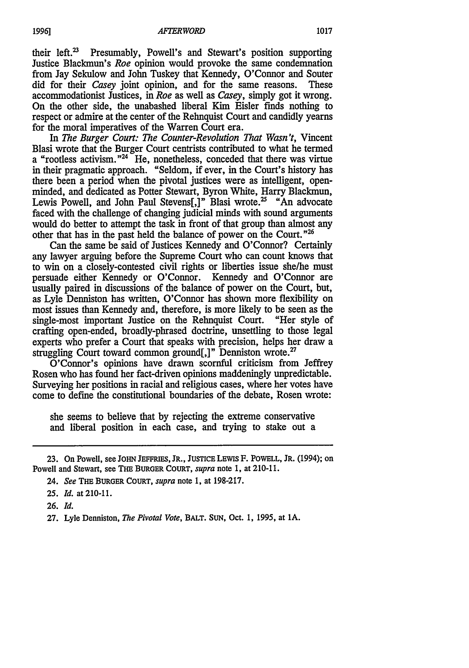their left. $^{23}$  Presumably, Powell's and Stewart's position supporting Justice Blackmun's *Roe* opinion would provoke the same condemnation from Jay Sekulow and John Tuskey that Kennedy, O'Connor and Souter did for their *Casey* joint opinion, and for the same reasons. These accommodationist Justices, in *Roe* as well as *Casey,* simply got it wrong. On the other side, the unabashed liberal Kim Eisler finds nothing to respect or admire at the center of the Rehnquist Court and candidly yearns for the moral imperatives of the Warren Court era.

In *The Burger Court: The Counter-Revolution That Wasn't,* Vincent Blasi wrote that the Burger Court centrists contributed to what he termed a "rootless activism."<sup>24</sup> He, nonetheless, conceded that there was virtue in their pragmatic approach. "Seldom, if ever, in the Court's history has there been a period when the pivotal justices were as intelligent, openminded, and dedicated as Potter Stewart, Byron White, Harry Blackmun, Lewis Powell, and John Paul Stevens[,]" Blasi wrote.<sup>25</sup> "An advocate faced with the challenge of changing judicial minds with sound arguments would do better to attempt the task in front of that group than almost any other that has in the past held the balance of power on the Court."26

Can the same be said of Justices Kennedy and O'Connor? Certainly any lawyer arguing before the Supreme Court who can count knows that to win on a closely-contested civil rights or liberties issue she/he must persuade either Kennedy or O'Connor. Kennedy and O'Connor are usually paired in discussions of the balance of power on the Court, but, as Lyle Denniston has written, O'Connor has shown more flexibility on most issues than Kennedy and, therefore, is more likely to be seen as the single-most important Justice on the Rehnquist Court. "Her style of crafting open-ended, broadly-phrased doctrine, unsettling to those legal experts who prefer a Court that speaks with precision, helps her draw a struggling Court toward common ground[,]" Denniston wrote.<sup>27</sup>

O'Connor's opinions have drawn scornful criticism from Jeffrey Rosen who has found her fact-driven opinions maddeningly unpredictable. Surveying her positions in racial and religious cases, where her votes have come to define the constitutional boundaries of the debate, Rosen wrote:

she seems to believe that by rejecting the extreme conservative and liberal position in each case, and trying to stake out a

26. *Id.*

<sup>23.</sup> On Powell, see **JOHN** JEFFRIES, JR., **JUsTICE** LEWIS F. POWELL, JR. (1994); on Powell and Stewart, see **THE** BURGER COURT, *supra* note 1, at 210-11.

<sup>24.</sup> *See* THE BURGER COURT, *supra* note 1, at 198-217.

<sup>25.</sup> *Id.* at 210-11.

<sup>27.</sup> Lyle Denniston, *The Pivotal Vote, BALT.* **SUN,** Oct. 1, 1995, at 1A.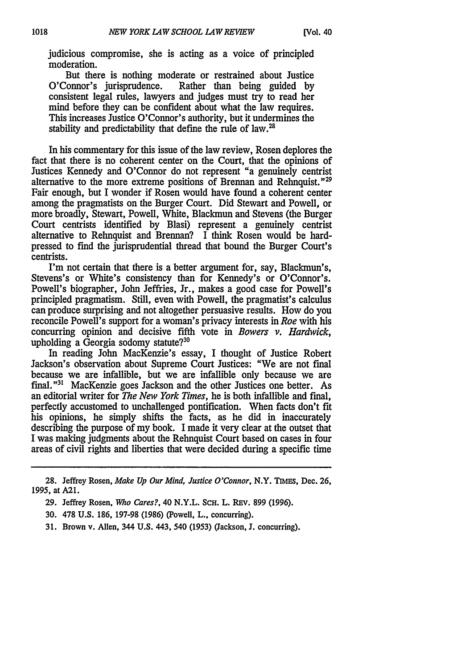judicious compromise, she is acting as a voice of principled moderation.

But there is nothing moderate or restrained about Justice<br>O'Connor's jurisprudence. Rather than being guided by Rather than being guided by consistent legal rules, lawyers and judges must try to read her mind before they can be confident about what the law requires. This increases Justice O'Connor's authority, but it undermines the stability and predictability that define the rule of law. $^{28}$ 

In his commentary for this issue of the law review, Rosen deplores the fact that there is no coherent center on the Court, that the opinions of Justices Kennedy and O'Connor do not represent "a genuinely centrist alternative to the more extreme positions of Brennan and Rehnquist."<sup>29</sup> Fair enough, but I wonder if Rosen would have found a coherent center among the pragmatists on the Burger Court. Did Stewart and Powell, or more broadly, Stewart, Powell, White, Blackmun and Stevens (the Burger Court centrists identified by Blasi) represent a genuinely centrist alternative to Rehnquist and Brennan? I think Rosen would be hardpressed to find the jurisprudential thread that bound the Burger Court's centrists.

I'm not certain that there is a better argument for, say, Blackmun's, Stevens's or White's consistency than for Kennedy's or O'Connor's. Powell's biographer, John Jeffries, Jr., makes a good case for Powell's principled pragmatism. Still, even with Powell, the pragmatist's calculus can produce surprising and not altogether persuasive results. How do you reconcile Powell's support for a woman's privacy interests in *Roe* with his concurring opinion and decisive fifth vote in *Bowers v. Hardwick,* upholding a Georgia sodomy statute?<sup>30</sup>

In reading John MacKenzie's essay, I thought of Justice Robert Jackson's observation about Supreme Court Justices: "We are not final because we are infallible, but we are infallible only because we are final."<sup>31</sup> MacKenzie goes Jackson and the other Justices one better. As an editorial writer for *The New York Times,* he is both infallible and final, perfectly accustomed to unchallenged pontification. When facts don't fit his opinions, he simply shifts the facts, as he did in inaccurately describing the purpose of my book. I made it very clear at the outset that I was making judgments about the Rehnquist Court based on cases in four areas of civil rights and liberties that were decided during a specific time

28. Jeffrey Rosen, *Make Up Our Mind, Justice O'Connor,* N.Y. TIMES, Dec. 26, **1995,** at A21.

29. Jeffrey Rosen, *Who Cares?,* 40 N.Y.L. SCH. L. REv. 899 (1996).

30. 478 U.S. 186, 197-98 (1986) (Powell, L., concurring).

31. Brown v. Allen, 344 U.S. 443, 540 (1953) (Jackson, J. concurring).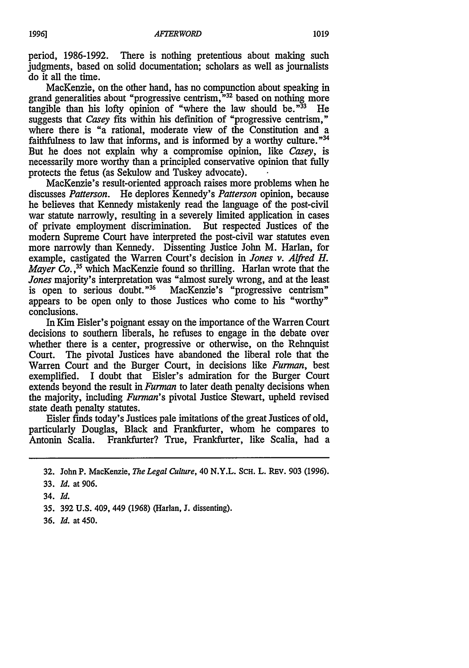period, 1986-1992. There is nothing pretentious about making such judgments, based on solid documentation; scholars as well as journalists do it all the time.

MacKenzie, on the other hand, has no compunction about speaking in grand generalities about "progressive centrism,"  $32$  based on nothing more tangible than his lofty opinion of "where the law should be."  $33$  He tangible than his lofty opinion of "where the law should be. $^{33}$ " suggests that *Casey* fits within his definition of "progressive centrism," where there is "a rational, moderate view of the Constitution and a faithfulness to law that informs, and is informed by a worthy culture."<sup>34</sup> But he does not explain why a compromise opinion, like *Casey,* is necessarily more worthy than a principled conservative opinion that fully protects the fetus (as Sekulow and Tuskey advocate).

MacKenzie's result-oriented approach raises more problems when he discusses *Patterson.* He deplores Kennedy's *Patterson* opinion, because he believes that Kennedy mistakenly read the language of the post-civil war statute narrowly, resulting in a severely limited application in cases of private employment discrimination. But respected Justices of the of private employment discrimination. modem Supreme Court have interpreted the post-civil war statutes even more narrowly than Kennedy. Dissenting Justice John M. Harlan, for example, castigated the Warren Court's decision in *Jones v. Alfred H. Mayer Co.*<sup>35</sup> which MacKenzie found so thrilling. Harlan wrote that the *Jones* majority's interpretation was "almost surely wrong, and at the least is open to serious doubt."<sup>36</sup> MacKenzie's "progressive centrism" MacKenzie's "progressive centrism" appears to be open only to those Justices who come to his "worthy" conclusions.

In Kim Eisler's poignant essay on the importance of the Warren Court decisions to southern liberals, he refuses to engage in the debate over whether there is a center, progressive or otherwise, on the Rehnquist Court. The pivotal Justices have abandoned the liberal role that the Warren Court and the Burger Court, in decisions like *Furman,* best exemplified. I doubt that Eisler's admiration for the Burger Court extends beyond the result in *Furman* to later death penalty decisions when the majority, including *Furman's* pivotal Justice Stewart, upheld revised state death penalty statutes.

Eisler finds today's Justices pale imitations of the great Justices of old, particularly Douglas, Black and Frankfurter, whom he compares to Antonin Scalia. Frankfurter? True, Frankfurter, like Scalia, had a

36. *Id.* at 450.

<sup>32.</sup> John P. MacKenzie, *The Legal Culture*, 40 N.Y.L. SCH. L. REV. 903 (1996).

<sup>33.</sup> *Id. at* 906.

<sup>34.</sup> *Id.*

<sup>35. 392</sup> U.S. 409, 449 (1968) (Harlan, J. dissenting).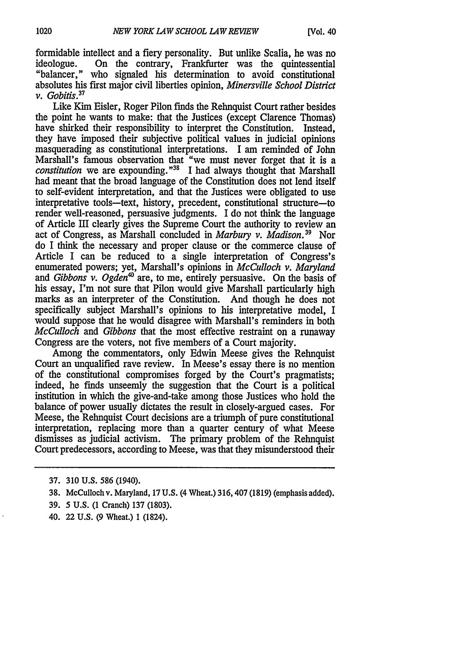formidable intellect and a fiery personality. But unlike Scalia, he was no ideologue. On the contrary, Frankfurter was the quintessential On the contrary, Frankfurter was the quintessential "balancer," who signaled his determination to avoid constitutional absolutes his first major civil liberties opinion, *Minersville School District v. Gobitis*

Like Kim Eisler, Roger Pilon finds the Rehnquist Court rather besides the point he wants to make: that the Justices (except Clarence Thomas) have shirked their responsibility to interpret the Constitution. Instead, they have imposed their subjective political values in judicial opinions masquerading as constitutional interpretations. I am reminded of John Marshall's famous observation that "we must never forget that it is a *constitution* we are expounding."<sup>38</sup> I had always thought that Marshall had meant that the broad language of the Constitution does not lend itself to self-evident interpretation, and that the Justices were obligated to use interpretative tools-text, history, precedent, constitutional structure-to render well-reasoned, persuasive judgments. I do not think the language of Article III clearly gives the Supreme Court the authority to review an act of Congress, as Marshall concluded in *Marbury v. Madison.39* Nor do I think the necessary and proper clause or the commerce clause of Article I can be reduced to a single interpretation of Congress's enumerated powers; yet, Marshall's opinions in *McCulloch v. Maryland* and *Gibbons v. Ogden<sup>40</sup>* are, to me, entirely persuasive. On the basis of his essay, I'm not sure that Pilon would give Marshall particularly high marks as an interpreter of the Constitution. And though he does not specifically subject Marshall's opinions to his interpretative model, I would suppose that he would disagree with Marshall's reminders in both *McCulloch* and *Gibbons* that the most effective restraint on a runaway Congress are the voters, not five members of a Court majority.

Among the commentators, only Edwin Meese gives the Rehnquist Court an unqualified rave review. In Meese's essay there is no mention of the constitutional compromises forged by the Court's pragmatists; indeed, he finds unseemly the suggestion that the Court is a political institution in which the give-and-take among those Justices who hold the balance of power usually dictates the result in closely-argued cases. For Meese, the Rehnquist Court decisions are a triumph of pure constitutional interpretation, replacing more than a quarter century of what Meese dismisses as judicial activism. The primary problem of the Rehnquist Court predecessors, according to Meese, was that they misunderstood their

- 39. **5** U.S. (1 Cranch) 137 (1803).
- 40. 22 U.S. (9 Wheat.) 1 (1824).

<sup>37. 310</sup> U.S. **586** (1940).

<sup>38.</sup> McCulloch v. Maryland, 17 U.S. (4 Wheat.) 316,407 (1819) (emphasis added).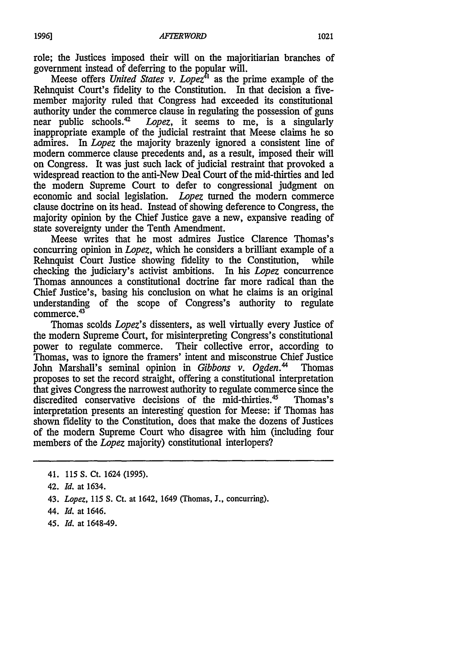role; the Justices imposed their will on the majoritiarian branches of government instead of deferring to the popular will.

Meese offers *United States v. Lopez*<sup>41</sup> as the prime example of the Rehnquist Court's fidelity to the Constitution. In that decision a fivemember majority ruled that Congress had exceeded its constitutional authority under the commerce clause in regulating the possession of guns near public schools.4 Lopez, it seems to me, is a singularly inappropriate example of the judicial restraint that Meese claims he so admires. In *Lopez* the majority brazenly ignored a consistent line of modern commerce clause precedents and, as a result, imposed their will on Congress. It was just such lack of judicial restraint that provoked a widespread reaction to the anti-New Deal Court of the mid-thirties and led the modem Supreme Court to defer to congressional judgment on economic and social legislation. *Lopez* turned the modem commerce clause doctrine on its head. Instead of showing deference to Congress, the majority opinion by the Chief Justice gave a new, expansive reading of state sovereignty under the Tenth Amendment.

Meese writes that he most admires Justice Clarence Thomas's concurring opinion in *Lopez,* which he considers a brilliant example of a Rehnquist Court Justice showing fidelity to the Constitution, while checking the judiciary's activist ambitions. In his *Lopez* concurrence Thomas announces a constitutional doctrine far more radical than the Chief Justice's, basing his conclusion on what he claims is an original understanding of the scope of Congress's authority to regulate commerce.<sup>43</sup>

Thomas scolds *Lopez's* dissenters, as well virtually every Justice of the modern Supreme Court, for misinterpreting Congress's constitutional power to regulate commerce. Their collective error, according to Their collective error, according to Thomas, was to ignore the framers' intent and misconstrue Chief Justice John Marshall's seminal opinion in *Gibbons v. Ogden.4* Thomas proposes to set the record straight, offering a constitutional interpretation that gives Congress the narrowest authority to regulate commerce since the discredited conservative decisions of the mid-thirties.45 Thomas's interpretation presents an interesting question for Meese: if Thomas has shown fidelity to the Constitution, does that make the dozens of Justices of the modem Supreme Court who disagree with him (including four members of the *Lopez* majority) constitutional interlopers?

45. *Id.* at 1648-49.

<sup>41. 115</sup> S. Ct. 1624 (1995).

<sup>42.</sup> *Id.* at 1634.

<sup>43.</sup> *Lopez,* 115 S. Ct. at 1642, 1649 (Thomas, **J.,** concurring).

<sup>44.</sup> *Id.* at 1646.